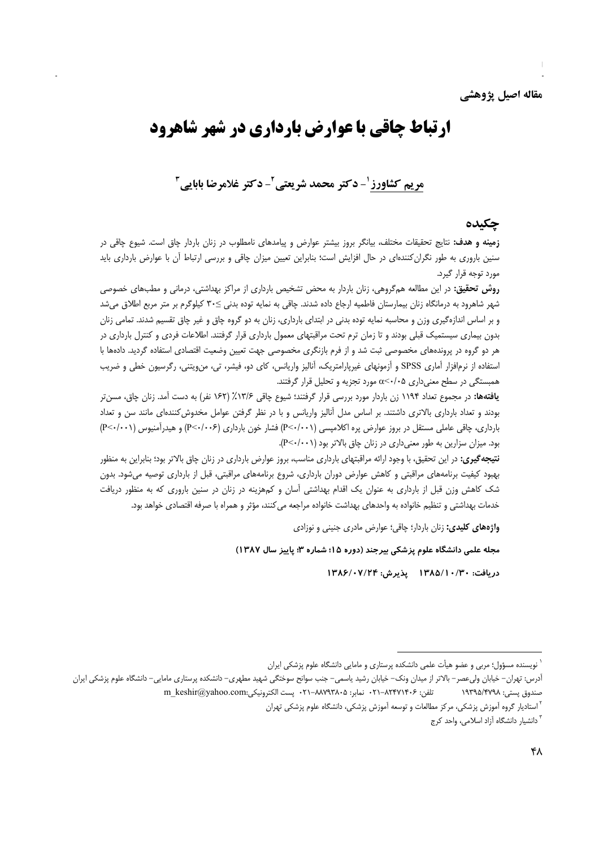مقاله اصيل يژوهشي

# **ارتباط چاقی با عوارض بارداری در شهر شاهرود**

## مريم كشاورز '- دكتر محمد شريعتي '- دكتر غلامرضا بابايي "

### چکیده

**زمینه و هدف:** نتایج تحقیقات مختلف، بیانگر بروز بیشتر عوارض و پیامدهای نامطلوب در زنان باردار چاق است. شیوع چاقی در سنین باروری به طور نگرانکنندهای در حال افزایش است؛ بنابراین تعیین میزان چاقی و بررسی ارتباط آن با عوارض بارداری باید مورد توجه قرار گیرد.

**روش تحقیق:** در این مطالعه همگروهی، زنان باردار به محض تشخیص بارداری از مراکز بهداشتی، درمانی و مطبهای خصوصی شهر شاهرود به درمانگاه زنان بیمارستان فاطمیه ارجاع داده شدند. چاقی به نمایه توده بدنی ≥۳۰ کیلوگرم بر متر مربع اطلاق می شد و بر اساس اندازهگیری وزن و محاسبه نمایه توده بدنی در ابتدای بارداری، زنان به دو گروه چاق و غیر چاق تقسیم شدند. تمامی زنان بدون بیماری سیستمیک قبلی بودند و تا زمان ترم تحت مراقبتهای معمول بارداری قرار گرفتند. اطلاعات فردی و کنترل بارداری در هر دو گروه در پروندههای مخصوصی ثبت شد و از فرم بازنگری مخصوصی جهت تعیین وضعیت اقتصادی استفاده گردید. دادهها با استفاده از نرمافزار آماری SPSS و آزمونهای غیرپارامتریک، آنالیز واریانس، کای دو، فیشر، تی، منLیتنی، رگرسیون خطی و ضریب همبستگی در سطح معنیداری ۵</۰> مورد تجزیه و تحلیل قرار گرفتند.

**یافتهها:** در مجموع تعداد ۱۱۹۴ زن باردار مورد بررسی قرار گرفتند؛ شیوع چاقی ۱۶۲۶٪ (۱۶۲ نفر) به دست آمد. زنان چاق، مسنتر بودند و تعداد بارداری بالاتری داشتند. بر اساس مدل آنالیز واریانس و با در نظر گرفتن عوامل مخدوش کنندهای مانند سن و تعداد بارداری، چاقی عاملی مستقل در بروز عوارض پره اکلامپسی (P<۰/۰۰۱) فشار خون بارداری (P<۰/۰۰۶) و هیدرآمنیوس (P<۰/۰۰۱) بود. میزان سزارین به طور معنیداری در زنان چاق بالاتر بود (P<٠/٠٠١).

**نتیجه گیری:** در این تحقیق، با وجود ارائه مراقبتهای بارداری مناسب، بروز عوارض بارداری در زنان چاق بالاتر بود؛ بنابراین به منظور بهبود کیفیت برنامههای مراقبتی و کاهش عوارض دوران بارداری، شروع برنامههای مراقبتی، قبل از بارداری توصیه میشود. بدون شک کاهش وزن قبل از بارداری به عنوان یک اقدام بهداشتی آسان و کمهزینه در زنان در سنین باروری که به منظور دریافت خدمات بهداشتی و تنظیم خانواده به واحدهای بهداشت خانواده مراجعه می کنند، مؤثر و همراه با صرفه اقتصادی خواهد بود.

واژههای کلیدی: زنان باردار؛ چاقی؛ عوارض مادری جنینی و نوزادی

مجله علمی دانشگاه علوم پزشکی بیرجند (دوره ۱۵؛ شماره ۳؛ پاییز سال ۱۳۸۷)

دريافت: ١٣٨٥/١٠/٣٨ يذيرش: ١٣٨۶/٠٧/٢۴

نویسنده مسؤول؛ مربی و عضو هیأت علمی دانشکده پرستاری و مامایی دانشگاه علوم پزشکی ایران

أدرس: تهران– خيابان وليءصر– بالاتر از ميدان ونک– خيابان رشيد ياسمي– جنب سوانح سوختگي شهيد مطهري– دانشکده پرستاري مامايي– دانشگاه علوم پزشکي ايران m keshir@yahoo.com: يست الكترونيكي . ٢١-٨٨٧٩٣٨٠٥ . m keshir + 7- يست الكترونيكي . m keshir صندوق يستى: ١٩٣٩۵/۴٧٩٨ <sup>۲</sup> استادیار گروه آموزش پزشکی، مرکز مطالعات و توسعه آموزش پزشکی، دانشگاه علوم پزشکی تهران

<sup>&</sup>lt;sup>۳</sup> دانشیار دانشگاه آزاد اسلامی، واحد کرج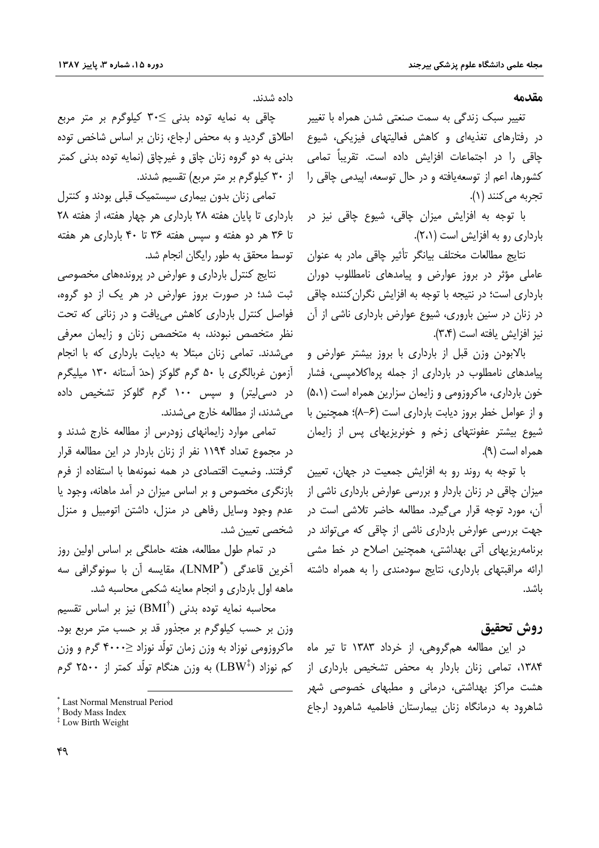مقدمه

تغییر سبک زندگی به سمت صنعتی شدن همراه با تغییر در رفتارهای تغذیهای و کاهش فعالیتهای فیزیکی، شیوع چاقی را در اجتماعات افزایش داده است. تقریباً تمامی کشورها، اعم از توسعه یافته و در حال توسعه، ایپدمی چاقی را تجربه مي كنند (١).

با توجه به افزایش میزان چاقی، شیوع چاقی نیز در بارداری رو به افزایش است (۲،۱).

نتايج مطالعات مختلف بيانكر تأثير چاقى مادر به عنوان عاملی مؤثر در بروز عوارض و پیامدهای نامطللوب دوران بارداری است؛ در نتیجه با توجه به افزایش نگران کننده چاقی در زنان در سنین باروری، شیوع عوارض بارداری ناشی از آن نيز افزايش يافته است (٣،٣).

بالابودن وزن قبل از بارداری با بروز بیشتر عوارض و پیامدهای نامطلوب در بارداری از جمله پرهاکلامیسی، فشار خون بارداری، ماکروزومی و زایمان سزارین همراه است (۵،۱) و از عوامل خطر بروز دیابت بارداری است (۶–۸)؛ همچنین با شیوع بیشتر عفونتهای زخم و خونریزیهای پس از زایمان همراه است (۹).

با توجه به روند رو به افزایش جمعیت در جهان، تعیین میزان چاقی در زنان باردار و بررسی عوارض بارداری ناشی از آن، مورد توجه قرار میگیرد. مطالعه حاضر تلاشی است در جهت بررسی عوارض بارداری ناشی از چاقی که می تواند در برنامهریزیهای آتی بهداشتی، همچنین اصلاح در خط مشی ارائه مراقبتهای بارداری، نتایج سودمندی را به همراه داشته ىاشد.

## روش تحقيق

در این مطالعه همگروهی، از خرداد ۱۳۸۳ تا تیر ماه ۱۳۸۴، تمامی زنان باردار به محض تشخیص بارداری از هشت مراکز بهداشتی، درمانی و مطبهای خصوصی شهر شاهرود به درمانگاه زنان بیمارستان فاطمیه شاهرود ارجاع

داده شدند.

چاقی به نمایه توده بدنی ≥۳۰ کیلوگرم بر متر مربع اطلاق گردید و به محض ارجاع، زنان بر اساس شاخص توده بدنی به دو گروه زنان چاق و غیرچاق (نمایه توده بدنی کمتر از ۳۰ کیلوگرم بر متر مربع) تقسیم شدند.

تمامی زنان بدون بیماری سیستمیک قبلی بودند و کنترل بارداری تا پایان هفته ۲۸ بارداری هر چهار هفته، از هفته ۲۸ تا ۳۶ هر دو هفته و سپس هفته ۳۶ تا ۴۰ بارداری هر هفته توسط محقق به طور رایگان انجام شد.

نتایج کنترل بارداری و عوارض در پروندههای مخصوصی ثبت شد؛ در صورت بروز عوارض در هر یک از دو گروه، فواصل کنترل بارداری کاهش می یافت و در زنانی که تحت نظر متخصص نبودند، به متخصص زنان و زایمان معرفی می شدند. تمامی زنان مبتلا به دیابت بارداری که با انجام آزمون غربالگری با ۵۰ گرم گلوکز (حدّ آستانه ۱۳۰ میلیگرم در دسی[یتر) و سپس ۱۰۰ گرم گلوکز تشخیص داده مي شدند، از مطالعه خارج مي شدند.

تمامی موارد زایمانهای زودرس از مطالعه خارج شدند و در مجموع تعداد ۱۱۹۴ نفر از زنان باردار در این مطالعه قرار گرفتند. وضعیت اقتصادی در همه نمونهها با استفاده از فرم بازنگری مخصوص و بر اساس میزان در آمد ماهانه، وجود یا عدم وجود وسایل رفاهی در منزل، داشتن اتومبیل و منزل شخصی تعیین شد.

در تمام طول مطالعه، هفته حاملگی بر اساس اولین روز آخرين قاعدگي ("LNMP)، مقايسه آن با سونوگرافي سه ماهه اول بارداری و انجام معاینه شکمی محاسبه شد.

محاسبه نمایه توده بدنی  $\mathrm{(BMI^\dagger)}$  نیز بر اساس تقسیم وزن بر حسب کیلوگرم بر مجذور قد بر حسب متر مربع بود. ماکروزومی نوزاد به وزن زمان تولّد نوزاد ≤۴۰۰۰ گرم و وزن کم نوزاد (LBW<sup>‡</sup>) به وزن هنگام تولّد کمتر از ۲۵۰۰ گرم

<sup>\*</sup> Last Normal Menstrual Period

<sup>&</sup>lt;sup>†</sup> Body Mass Index

<sup>&</sup>lt;sup>‡</sup> Low Birth Weight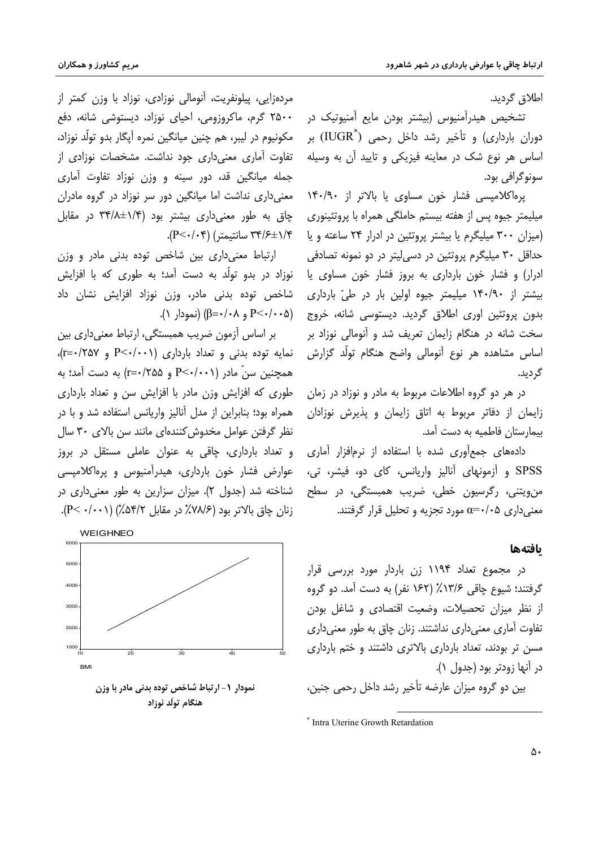اطلاق گردید.

تشخیص هیدرآمنیوس (بیشتر بودن مایع آمنیوتیک در دوران بارداری) و تأخیر رشد داخل رحمی ( ${\rm IUGR}^*$ ) بر اساس هر نوع شک در معاینه فیزیکی و تایید آن به وسیله سونو گرافی بود.

پرهاکلامپسی فشار خون مساوی یا بالاتر از ۱۴۰/۹۰ میلیمتر جیوه پس از هفته بیستم حاملگی همراه با پروتئینوری (میزان ۳۰۰ میلیگرم یا بیشتر پروتئین در ادرار ۲۴ ساعته و یا حداقل ۳۰ میلیگرم پروتئین در دسی لیتر در دو نمونه تصادفی ادرار) و فشار خون بارداری به بروز فشار خون مساوی یا بیشتر از ۱۴۰/۹۰ میلیمتر جیوه اولین بار در طیّ بارداری بدون پروتئین اوری اطلاق گردید. دیستوسی شانه، خروج (P<٠/٠٠۵ و β=٠/٠٨) (نمودار ١). سخت شانه در هنگام زایمان تعریف شد و آنومالی نوزاد بر اساس مشاهده هر نوع آنومالی واضح هنگام تولّد گزارش گردىد.

> در هر دو گروه اطلاعات مربوط به مادر و نوزاد در زمان زایمان از دفاتر مربوط به اتاق زایمان و پذیرش نوزادان بيمارستان فاطميه به دست آمد.

> دادههای جمع آوری شده با استفاده از نرمافزار آماری SPSS و آزمونهای آنالیز واریانس، کای دو، فیشر، تی، من,ویتنی، رگرسیون خطی، ضریب همبستگی، در سطح معنیداری ۵+/۰=c مورد تجزیه و تحلیل قرار گرفتند.

### بافتهها

در مجموع تعداد ۱۱۹۴ زن باردار مورد بررسی قرار گرفتند؛ شیوع چاقی ۱۳/۶٪ (۱۶۲ نفر) به دست آمد. دو گروه از نظر میزان تحصیلات، وضعیت اقتصادی و شاغل بودن تفاوت آماری معنی داری نداشتند. زنان چاق به طور معنی داری مسن تر بودند، تعداد بارداری بالاتری داشتند و ختم بارداری در آنها زودتر بود (جدول ۱).

بین دو گروه میزان عارضه تأخیر رشد داخل رحمی جنین،

مردهزایی، پیلونفریت، آنومالی نوزادی، نوزاد با وزن کمتر از ۲۵۰۰ گرم، ماکروزومی، احیای نوزاد، دیستوشی شانه، دفع ِ مکونیوم در لیبر، هم چنین میانگین نمره اَیگار بدو تولّد نوزاد، تفاوت آماری معنی داری جود نداشت. مشخصات نوزادی از جمله میانگین قد، دور سینه و وزن نوزاد تفاوت آماری معنی داری نداشت اما میانگین دور سر نوزاد در گروه مادران چاق به طور معنی داری بیشتر بود (۱/۴±۳۴/۸ در مقابل ۳۴/۶±۱/۴ سانتیمتر) (P<۰/۰۴).

ارتباط معنىدارى بين شاخص توده بدنى مادر و وزن نوزاد در بدو تولّد به دست آمد؛ به طوری که با افزایش شاخص توده بدنی مادر، وزن نوزاد افزایش نشان داد

بر اساس آزمون ضریب همبستگی، ارتباط معنیداری بین  $(r = \cdot / \gamma \Delta V)$  بدنی و تعداد بارداری (۲۰۰۱/->P و ۲۵۷/-=r) همچنین سنّ مادر (P<-/۰۰۱ و ۲۵۵/۰=۲) به دست آمد؛ به طوری که افزایش وزن مادر با افزایش سن و تعداد بارداری همراه بود؛ بنابراین از مدل آنالیز واریانس استفاده شد و با در نظر گرفتن عوامل مخدوش كنندهاى مانند سن بالاى ٣٠ سال و تعداد بارداری، چاقی به عنوان عاملی مستقل در بروز عوارض فشار خون بارداري، هيدرآمنيوس و يرەاكلاميسى شناخته شد (جدول ۲). میزان سزارین به طور معنی داری در زنان چاق بالاتر بود (۷۸/۶٪ در مقابل ۵۴/۲٪) (۰/۰۰۱–P).



نمودار ١- ارتباط شاخص توده بدني مادر با وزن هنگام تولّد نوزاد

<sup>\*</sup> Intra Uterine Growth Retardation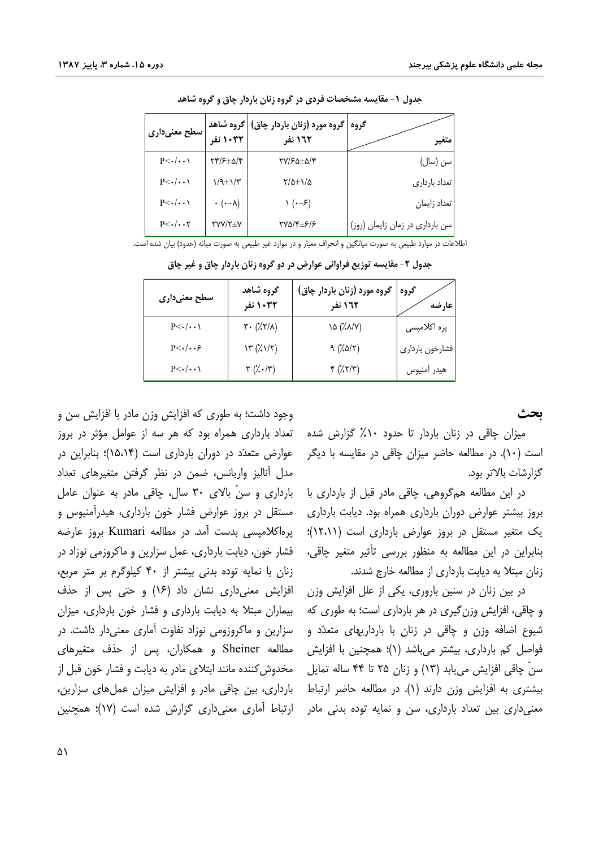| سطح معنیداری           | ٔ   گروه شاهد<br>1002 نفر     | گروه   گروه مورد (زنان باردار چاق)<br>122 نفر |                                 |
|------------------------|-------------------------------|-----------------------------------------------|---------------------------------|
| $P<\cdot/\cdot\cdot$   | ۲۴/۶±۵/۴                      | <b>TY/۶۵±۵/۴</b>                              | سن (سال)                        |
| $P<\cdot/\cdot\cdot$   | $1/9$ $\pm$ $1/7$             | $\frac{1}{2}$                                 | تعداد بارداري                   |
| $P<\cdot/\cdot\cdot$   | $\cdot$ ( $\cdot - \lambda$ ) | (۰–۶) ۱                                       | تعداد زايمان                    |
| $P<\cdot/\cdot\cdot Y$ | <b>TYY/T±Y</b>                | 270/4±6/6                                     | سن بارداری در زمان زایمان (روز) |

جدول ۱- مقایسه مشخصات فردی در گروه زنان باردار چاق و گروه شاهد

اطلاعات در موارد طبیعی به صورت میانگین و انحراف معیار و در موارد غیر طبیعی به صورت میانه (حدود) بیان شده است.

| سطح معنیداری           | گروه شاهد<br>۱۰۳۲ نفر                                   | گروه مورد (زنان باردار چاق)<br>۱٦٢ نفر    | گروه<br>عارضه   |
|------------------------|---------------------------------------------------------|-------------------------------------------|-----------------|
| $P<\cdot/\cdot\cdot$   | $\mathbf{r} \cdot (\mathbf{X} \mathbf{Y} / \mathbf{A})$ | (۱۸/۷) ۱۵                                 | پره اکلامپسی    |
| $P<\cdot/\cdot\cdot$ ۶ | $\mathcal{N}(\mathcal{K}\setminus\mathcal{K})$          | 9 (7.07)                                  | فشارخون بارداري |
| $P<\cdot/\cdot\cdot$   | $\mathbf{r}$ (% $\cdot$ / $\mathbf{r}$ )                | $\uparrow$ ( $\chi \uparrow / \uparrow$ ) | هيدر أمنيوس     |

جدول ۲- مقایسه توزیع فراوانی عوارض در دو گروه زنان باردار چاق و غیر چاق

ىحث

میزان چاقی در زنان باردار تا حدود ۱۰٪ گزارش شده است (۱۰). در مطالعه حاضر میزان چاقی در مقایسه با دیگر گزارشات بالاتر بود.

در این مطالعه همگروهی، چاقی مادر قبل از بارداری با بروز بیشتر عوارض دوران بارداری همراه بود. دیابت بارداری یک متغیر مستقل در بروز عوارض بارداری است (۱۲،۱۱)؛ بنابراین در این مطالعه به منظور بررسی تأثیر متغیر چاقی، زنان مبتلا به دیابت بارداری از مطالعه خارج شدند.

در بین زنان در سنین باروری، یکی از علل افزایش وزن و چاقی، افزایش وزن گیری در هر بارداری است؛ به طوری که شیوع اضافه وزن و چاقی در زنان با بارداریهای متعدّد و فواصل کم بارداری، بیشتر میباشد (۱)؛ همچنین با افزایش سنّ چاقی افزایش می،ابد (۱۳) و زنان ۲۵ تا ۴۴ ساله تمایل بیشتری به افزایش وزن دارند (۱). در مطالعه حاضر ارتباط معنیداری بین تعداد بارداری، سن و نمایه توده بدنی مادر

وجود داشت؛ به طوری که افزایش وزن مادر با افزایش سن و تعداد بارداری همراه بود که هر سه از عوامل مؤثر در بروز عوارض متعدّد در دوران بارداری است (۱۵٬۱۴)؛ بنابراین در مدل أناليز واريانس، ضمن در نظر گرفتن متغيرهاي تعداد بارداری و سنّ بالای ۳۰ سال، چاقی مادر به عنوان عامل مستقل در بروز عوارض فشار خون بارداری، هیدرآمنیوس و پرهاکلامپسی بدست آمد. در مطالعه Kumari بروز عارضه فشار خون، دیابت بارداری، عمل سزارین و ماکروزمی نوزاد در زنان با نمایه توده بدنی بیشتر از ۴۰ کیلوگرم بر متر مربع، افزایش معنیداری نشان داد (۱۶) و حتی پس از حذف بیماران مبتلا به دیابت بارداری و فشار خون بارداری، میزان سزارین و ماکروزومی نوزاد تفاوت آماری معنیدار داشت. در مطالعه Sheiner و همکاران، پس از حذف متغیرهای مخدوش کننده مانند ابتلای مادر به دیابت و فشار خون قبل از بارداری، بین چاقی مادر و افزایش میزان عملهای سزارین، ارتباط آماری معنیداری گزارش شده است (۱۷)؛ همچنین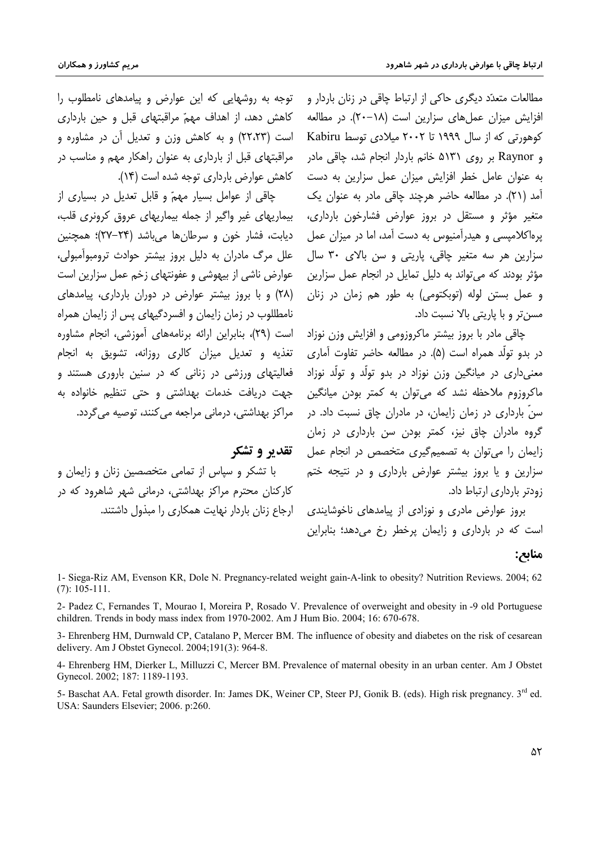مریم کشاورز و همکاران

مطالعات متعدّد دیگری حاکی از ارتباط چاقی در زنان باردار و افزایش میزان عملهای سزارین است (۱۸–۲۰). در مطالعه کوهورتی که از سال ۱۹۹۹ تا ۲۰۰۲ میلادی توسط Kabiru و Raynor بر روی ۵۱۳۱ خانم باردار انجام شد، چاقی مادر به عنوان عامل خطر افزایش میزان عمل سزارین به دست کاهش عوارض بارداری توجه شده است (۱۴). آمد (۲۱). در مطالعه حاضر هرچند چاقی مادر به عنوان یک متغیر مؤثر و مستقل در بروز عوارض فشارخون بارداری، یرهاکلامیسی و هیدرآمنیوس به دست آمد، اما در میزان عمل سزارین هر سه متغیر چاقی، پاریتی و سن بالای ۳۰ سال مؤثر بودند که میتواند به دلیل تمایل در انجام عمل سزارین و عمل بستن لوله (توبکتومی) به طور هم زمان در زنان مسن تر و با پاریتی بالا نسبت داد.

> چاقی مادر با بروز بیشتر ماکروزومی و افزایش وزن نوزاد در بدو تولَّد همراه است (۵). در مطالعه حاضر تفاوت آماری معنیداری در میانگین وزن نوزاد در بدو تولّد و تولّد نوزاد ماکروزوم ملاحظه نشد که میتوان به کمتر بودن میانگین سنّ بارداری در زمان زایمان، در مادران چاق نسبت داد. در گروه مادران چاق نیز، کمتر بودن سن بارداری در زمان زایمان را می توان به تصمیم گیری متخصص در انجام عمل سزارین و یا بروز بیشتر عوارض بارداری و در نتیجه ختم زودتر بارداری ارتباط داد.

> بروز عوارض مادری و نوزادی از پیامدهای ناخوشایندی است که در بارداری و زایمان پرخطر رخ می دهد؛ بنابراین

توجه به روشهایی که این عوارض و پیامدهای نامطلوب را كاهش دهد، از اهداف مهمّ مراقبتهاى قبل و حين باردارى است (۲۲٬۲۳) و به کاهش وزن و تعدیل آن در مشاوره و مراقبتهای قبل از بارداری به عنوان راهکار مهم و مناسب در

چاقی از عوامل بسیار مهمّ و قابل تعدیل در بسیاری از بیماریهای غیر واگیر از جمله بیماریهای عروق کرونری قلب، دیابت، فشار خون و سرطانها میباشد (۲۴–۲۷)؛ همچنین علل مرگ مادران به دلیل بروز بیشتر حوادث ترومبوآمبولی، عوارض ناشی از بیهوشی و عفونتهای زخم عمل سزارین است (۲۸) و با بروز بیشتر عوارض در دوران بارداری، پیامدهای نامطللوب در زمان زایمان و افسردگیهای پس از زایمان همراه است (٢٩)، بنابراین ارائه برنامههای آموزشی، انجام مشاوره تغذیه و تعدیل میزان کالری روزانه، تشویق به انجام فعالیتهای ورزشی در زنانی که در سنین باروری هستند و جهت دریافت خدمات بهداشتی و حتی تنظیم خانواده به مراکز بهداشتی، درمانی مراجعه می کنند، توصیه می گردد.

ققدیر و تشکر

با تشکر و سیاس از تمامی متخصصین زنان و زایمان و کارکنان محترم مراکز بهداشتی، درمانی شهر شاهرود که در ارجاع زنان باردار نهایت همکاری را مبذول داشتند.

## منابح:

1- Siega-Riz AM, Evenson KR, Dole N. Pregnancy-related weight gain-A-link to obesity? Nutrition Reviews. 2004; 62  $(7): 105 - 111.$ 

2- Padez C, Fernandes T, Mourao I, Moreira P, Rosado V. Prevalence of overweight and obesity in -9 old Portuguese children. Trends in body mass index from 1970-2002. Am J Hum Bio. 2004; 16: 670-678.

3- Ehrenberg HM, Durnwald CP, Catalano P, Mercer BM. The influence of obesity and diabetes on the risk of cesarean delivery. Am J Obstet Gynecol. 2004;191(3): 964-8.

4- Ehrenberg HM, Dierker L, Milluzzi C, Mercer BM. Prevalence of maternal obesity in an urban center. Am J Obstet Gynecol. 2002; 187: 1189-1193.

5- Baschat AA. Fetal growth disorder. In: James DK, Weiner CP, Steer PJ, Gonik B. (eds). High risk pregnancy. 3rd ed. USA: Saunders Elsevier; 2006. p:260.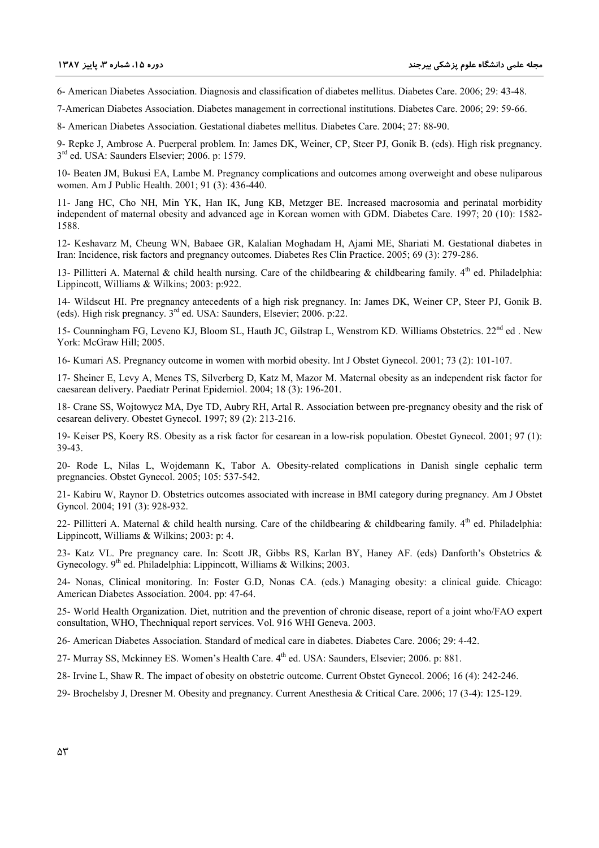6- American Diabetes Association. Diagnosis and classification of diabetes mellitus. Diabetes Care. 2006; 29: 43-48.

7-American Diabetes Association. Diabetes management in correctional institutions. Diabetes Care. 2006; 29: 59-66.

8- American Diabetes Association. Gestational diabetes mellitus. Diabetes Care. 2004; 27: 88-90.

9- Repke J, Ambrose A. Puerperal problem. In: James DK, Weiner, CP, Steer PJ, Gonik B. (eds). High risk pregnancy. 3rd ed. USA: Saunders Elsevier; 2006. p: 1579.

10- Beaten JM, Bukusi EA, Lambe M. Pregnancy complications and outcomes among overweight and obese nuliparous women. Am J Public Health. 2001; 91 (3): 436-440.

11- Jang HC, Cho NH, Min YK, Han IK, Jung KB, Metzger BE. Increased macrosomia and perinatal morbidity independent of maternal obesity and advanced age in Korean women with GDM. Diabetes Care. 1997; 20 (10): 1582- 1588.

12- Keshavarz M, Cheung WN, Babaee GR, Kalalian Moghadam H, Ajami ME, Shariati M. Gestational diabetes in Iran: Incidence, risk factors and pregnancy outcomes. Diabetes Res Clin Practice. 2005; 69 (3): 279-286.

13- Pillitteri A. Maternal & child health nursing. Care of the childbearing & childbearing family.  $4<sup>th</sup>$  ed. Philadelphia: Lippincott, Williams & Wilkins; 2003: p:922.

14- Wildscut HI. Pre pregnancy antecedents of a high risk pregnancy. In: James DK, Weiner CP, Steer PJ, Gonik B. (eds). High risk pregnancy. 3rd ed. USA: Saunders, Elsevier; 2006. p:22.

15- Counningham FG, Leveno KJ, Bloom SL, Hauth JC, Gilstrap L, Wenstrom KD. Williams Obstetrics. 22<sup>nd</sup> ed. New York: McGraw Hill; 2005.

16- Kumari AS. Pregnancy outcome in women with morbid obesity. Int J Obstet Gynecol. 2001; 73 (2): 101-107.

17- Sheiner E, Levy A, Menes TS, Silverberg D, Katz M, Mazor M. Maternal obesity as an independent risk factor for caesarean delivery. Paediatr Perinat Epidemiol. 2004; 18 (3): 196-201.

18- Crane SS, Wojtowycz MA, Dye TD, Aubry RH, Artal R. Association between pre-pregnancy obesity and the risk of cesarean delivery. Obestet Gynecol. 1997; 89 (2): 213-216.

19- Keiser PS, Koery RS. Obesity as a risk factor for cesarean in a low-risk population. Obestet Gynecol. 2001; 97 (1): 39-43.

20- Rode L, Nilas L, Wojdemann K, Tabor A. Obesity-related complications in Danish single cephalic term pregnancies. Obstet Gynecol. 2005; 105: 537-542.

21- Kabiru W, Raynor D. Obstetrics outcomes associated with increase in BMI category during pregnancy. Am J Obstet Gyncol. 2004; 191 (3): 928-932.

22- Pillitteri A. Maternal & child health nursing. Care of the childbearing & childbearing family.  $4<sup>th</sup>$  ed. Philadelphia: Lippincott, Williams & Wilkins; 2003: p: 4.

23- Katz VL. Pre pregnancy care. In: Scott JR, Gibbs RS, Karlan BY, Haney AF. (eds) Danforth's Obstetrics & Gynecology.  $9<sup>th</sup>$  ed. Philadelphia: Lippincott, Williams & Wilkins; 2003.

24- Nonas, Clinical monitoring. In: Foster G.D, Nonas CA. (eds.) Managing obesity: a clinical guide. Chicago: American Diabetes Association. 2004. pp: 47-64.

25- World Health Organization. Diet, nutrition and the prevention of chronic disease, report of a joint who/FAO expert consultation, WHO, Thechniqual report services. Vol. 916 WHI Geneva. 2003.

26- American Diabetes Association. Standard of medical care in diabetes. Diabetes Care. 2006; 29: 4-42.

27- Murray SS, Mckinney ES, Women's Health Care. 4<sup>th</sup> ed. USA: Saunders, Elsevier; 2006. p: 881.

28- Irvine L, Shaw R. The impact of obesity on obstetric outcome. Current Obstet Gynecol. 2006; 16 (4): 242-246.

29- Brochelsby J, Dresner M. Obesity and pregnancy. Current Anesthesia & Critical Care. 2006; 17 (3-4): 125-129.